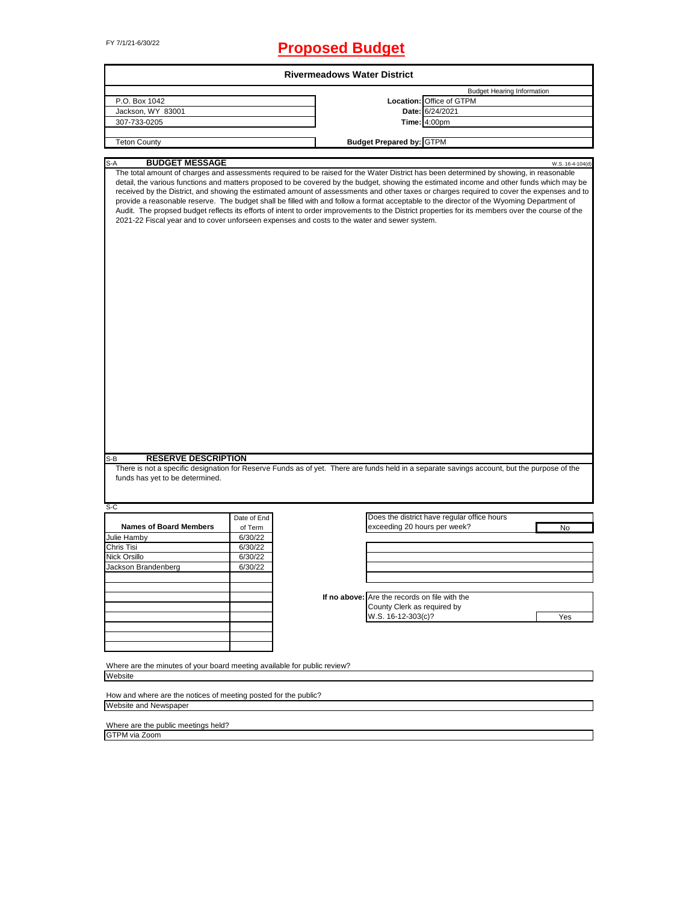# FY 7/1/21-6/30/22 **Proposed Budget**

|                                                                                                                                                                                                                                                                                                                                                                                                                                                                                                                                                                                                                                                                                                                                                                                                                                    |             | <b>Rivermeadows Water District</b> |                                               |                                             |                                   |  |
|------------------------------------------------------------------------------------------------------------------------------------------------------------------------------------------------------------------------------------------------------------------------------------------------------------------------------------------------------------------------------------------------------------------------------------------------------------------------------------------------------------------------------------------------------------------------------------------------------------------------------------------------------------------------------------------------------------------------------------------------------------------------------------------------------------------------------------|-------------|------------------------------------|-----------------------------------------------|---------------------------------------------|-----------------------------------|--|
|                                                                                                                                                                                                                                                                                                                                                                                                                                                                                                                                                                                                                                                                                                                                                                                                                                    |             |                                    |                                               |                                             | <b>Budget Hearing Information</b> |  |
| P.O. Box 1042                                                                                                                                                                                                                                                                                                                                                                                                                                                                                                                                                                                                                                                                                                                                                                                                                      |             |                                    |                                               | Location: Office of GTPM                    |                                   |  |
| Jackson, WY 83001                                                                                                                                                                                                                                                                                                                                                                                                                                                                                                                                                                                                                                                                                                                                                                                                                  |             |                                    |                                               | Date: 6/24/2021                             |                                   |  |
| 307-733-0205                                                                                                                                                                                                                                                                                                                                                                                                                                                                                                                                                                                                                                                                                                                                                                                                                       |             |                                    |                                               | <b>Time: 4:00pm</b>                         |                                   |  |
|                                                                                                                                                                                                                                                                                                                                                                                                                                                                                                                                                                                                                                                                                                                                                                                                                                    |             |                                    |                                               |                                             |                                   |  |
| <b>Teton County</b>                                                                                                                                                                                                                                                                                                                                                                                                                                                                                                                                                                                                                                                                                                                                                                                                                |             |                                    | <b>Budget Prepared by: GTPM</b>               |                                             |                                   |  |
| <b>BUDGET MESSAGE</b><br>S-A                                                                                                                                                                                                                                                                                                                                                                                                                                                                                                                                                                                                                                                                                                                                                                                                       |             |                                    |                                               |                                             | W.S. 16-4-104(d)                  |  |
| The total amount of charges and assessments required to be raised for the Water District has been determined by showing, in reasonable<br>detail, the various functions and matters proposed to be covered by the budget, showing the estimated income and other funds which may be<br>received by the District, and showing the estimated amount of assessments and other taxes or charges required to cover the expenses and to<br>provide a reasonable reserve. The budget shall be filled with and follow a format acceptable to the director of the Wyoming Department of<br>Audit. The propsed budget reflects its efforts of intent to order improvements to the District properties for its members over the course of the<br>2021-22 Fiscal year and to cover unforseen expenses and costs to the water and sewer system. |             |                                    |                                               |                                             |                                   |  |
| <b>RESERVE DESCRIPTION</b><br>S-B                                                                                                                                                                                                                                                                                                                                                                                                                                                                                                                                                                                                                                                                                                                                                                                                  |             |                                    |                                               |                                             |                                   |  |
| There is not a specific designation for Reserve Funds as of yet. There are funds held in a separate savings account, but the purpose of the<br>funds has yet to be determined.                                                                                                                                                                                                                                                                                                                                                                                                                                                                                                                                                                                                                                                     |             |                                    |                                               |                                             |                                   |  |
| S-C                                                                                                                                                                                                                                                                                                                                                                                                                                                                                                                                                                                                                                                                                                                                                                                                                                | Date of End |                                    |                                               | Does the district have regular office hours |                                   |  |
| <b>Names of Board Members</b>                                                                                                                                                                                                                                                                                                                                                                                                                                                                                                                                                                                                                                                                                                                                                                                                      | of Term     |                                    | exceeding 20 hours per week?                  |                                             | No                                |  |
| Julie Hamby                                                                                                                                                                                                                                                                                                                                                                                                                                                                                                                                                                                                                                                                                                                                                                                                                        | 6/30/22     |                                    |                                               |                                             |                                   |  |
| Chris Tisi                                                                                                                                                                                                                                                                                                                                                                                                                                                                                                                                                                                                                                                                                                                                                                                                                         | 6/30/22     |                                    |                                               |                                             |                                   |  |
| Nick Orsillo                                                                                                                                                                                                                                                                                                                                                                                                                                                                                                                                                                                                                                                                                                                                                                                                                       | 6/30/22     |                                    |                                               |                                             |                                   |  |
| Jackson Brandenberg                                                                                                                                                                                                                                                                                                                                                                                                                                                                                                                                                                                                                                                                                                                                                                                                                | 6/30/22     |                                    |                                               |                                             |                                   |  |
|                                                                                                                                                                                                                                                                                                                                                                                                                                                                                                                                                                                                                                                                                                                                                                                                                                    |             |                                    |                                               |                                             |                                   |  |
|                                                                                                                                                                                                                                                                                                                                                                                                                                                                                                                                                                                                                                                                                                                                                                                                                                    |             |                                    |                                               |                                             |                                   |  |
|                                                                                                                                                                                                                                                                                                                                                                                                                                                                                                                                                                                                                                                                                                                                                                                                                                    |             |                                    | If no above: Are the records on file with the |                                             |                                   |  |
|                                                                                                                                                                                                                                                                                                                                                                                                                                                                                                                                                                                                                                                                                                                                                                                                                                    |             |                                    | County Clerk as required by                   |                                             |                                   |  |
|                                                                                                                                                                                                                                                                                                                                                                                                                                                                                                                                                                                                                                                                                                                                                                                                                                    |             |                                    | W.S. 16-12-303(c)?                            |                                             | Yes                               |  |
|                                                                                                                                                                                                                                                                                                                                                                                                                                                                                                                                                                                                                                                                                                                                                                                                                                    |             |                                    |                                               |                                             |                                   |  |
|                                                                                                                                                                                                                                                                                                                                                                                                                                                                                                                                                                                                                                                                                                                                                                                                                                    |             |                                    |                                               |                                             |                                   |  |
| Where are the minutes of your board meeting available for public review?<br>Website                                                                                                                                                                                                                                                                                                                                                                                                                                                                                                                                                                                                                                                                                                                                                |             |                                    |                                               |                                             |                                   |  |
|                                                                                                                                                                                                                                                                                                                                                                                                                                                                                                                                                                                                                                                                                                                                                                                                                                    |             |                                    |                                               |                                             |                                   |  |
| How and where are the notices of meeting posted for the public?                                                                                                                                                                                                                                                                                                                                                                                                                                                                                                                                                                                                                                                                                                                                                                    |             |                                    |                                               |                                             |                                   |  |
| Website and Newspaper                                                                                                                                                                                                                                                                                                                                                                                                                                                                                                                                                                                                                                                                                                                                                                                                              |             |                                    |                                               |                                             |                                   |  |

٦

Where are the public meetings held? GTPM via Zoom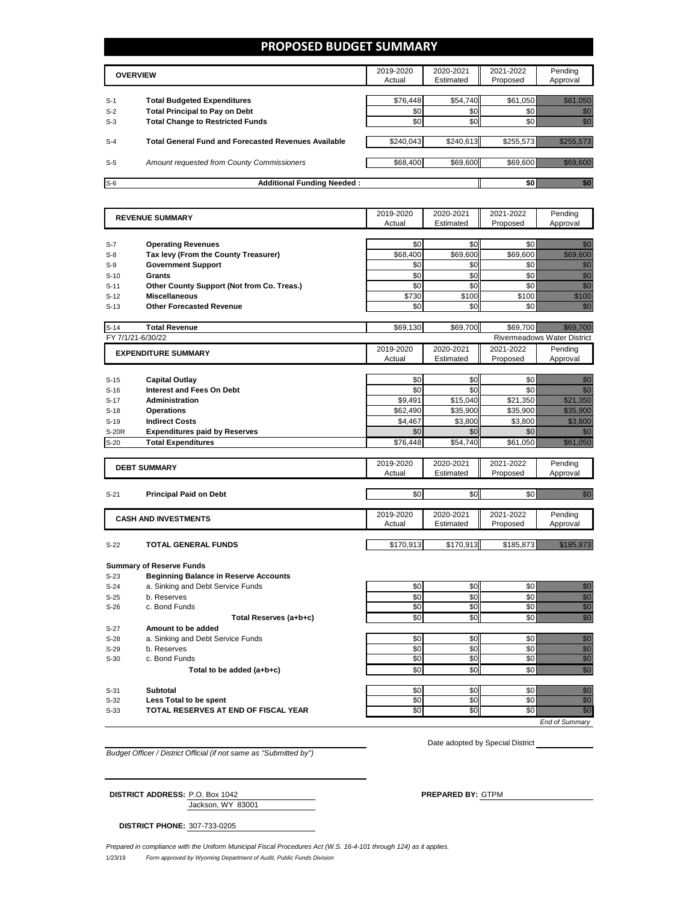### **PROPOSED BUDGET SUMMARY**

|       | <b>OVERVIEW</b>                                             | 2019-2020<br>Actual | 2020-2021<br>Estimated | 2021-2022<br>Proposed | Pending<br>Approval |
|-------|-------------------------------------------------------------|---------------------|------------------------|-----------------------|---------------------|
| $S-1$ | <b>Total Budgeted Expenditures</b>                          | \$76.448            | \$54,740               | \$61.050              |                     |
| $S-2$ | <b>Total Principal to Pay on Debt</b>                       | \$0                 | \$0                    |                       |                     |
| $S-3$ | <b>Total Change to Restricted Funds</b>                     | \$0                 | \$0                    |                       |                     |
|       |                                                             |                     |                        |                       |                     |
| $S-4$ | <b>Total General Fund and Forecasted Revenues Available</b> | \$240,043           | \$240,613              | \$255,573             |                     |
|       |                                                             |                     |                        |                       |                     |
| $S-5$ | Amount requested from County Commissioners                  | \$68,400            | \$69,600               | \$69,600              |                     |
|       |                                                             |                     |                        |                       |                     |
| $S-6$ | <b>Additional Funding Needed:</b>                           |                     |                        |                       |                     |

| <b>REVENUE SUMMARY</b> |                                                                   | 2019-2020       | 2020-2021       | 2021-2022       | Pending                                                                                                                                                                                                                                                                                                                                                                                                                                                            |
|------------------------|-------------------------------------------------------------------|-----------------|-----------------|-----------------|--------------------------------------------------------------------------------------------------------------------------------------------------------------------------------------------------------------------------------------------------------------------------------------------------------------------------------------------------------------------------------------------------------------------------------------------------------------------|
|                        |                                                                   | Actual          | Estimated       | Proposed        | Approval                                                                                                                                                                                                                                                                                                                                                                                                                                                           |
|                        |                                                                   |                 |                 |                 |                                                                                                                                                                                                                                                                                                                                                                                                                                                                    |
| $S-7$<br>$S-8$         | <b>Operating Revenues</b><br>Tax levy (From the County Treasurer) | \$0<br>\$68,400 | \$0<br>\$69,600 | \$0<br>\$69,600 | en de la forma de la forma de la forma de la forma de la forma de la forma de la forma de la forma de la forma<br>Constituir de la forma de la forma de la forma de la forma de la forma de la forma de la forma de la forma de<br><u> Maria Sant</u>                                                                                                                                                                                                              |
|                        |                                                                   | \$0             | \$0             | \$0             |                                                                                                                                                                                                                                                                                                                                                                                                                                                                    |
| $S-9$                  | <b>Government Support</b>                                         |                 |                 |                 | e de la familia de la familia de la familia de la familia de la familia de la familia de la familia de la fami<br>Espainia                                                                                                                                                                                                                                                                                                                                         |
| $S-10$                 | Grants                                                            | \$0<br>\$0      | \$0<br>\$0      | \$0<br>\$0      | en de la familie de la familie de la familie de la familie de la familie de la familie de la familie de la fa<br>Construction de la familie de la familie de la familie de la familie de la familie de la familie de la familie                                                                                                                                                                                                                                    |
| $S-11$                 | Other County Support (Not from Co. Treas.)                        |                 | \$100           | \$100           | e de la filosofia<br>Maria de la filosofia                                                                                                                                                                                                                                                                                                                                                                                                                         |
| $S-12$                 | <b>Miscellaneous</b>                                              | \$730           |                 |                 | en de la familie de la familie de la familie de la familie de la familie de la familie de la familie de la fa<br>Constitution de la familie de la familie de la familie de la familie de la familie de la familie de la familie                                                                                                                                                                                                                                    |
| $S-13$                 | <b>Other Forecasted Revenue</b>                                   | \$0             | \$0             | \$0             |                                                                                                                                                                                                                                                                                                                                                                                                                                                                    |
| $S-14$                 | <b>Total Revenue</b>                                              | \$69.130        | \$69.700        | \$69.700        |                                                                                                                                                                                                                                                                                                                                                                                                                                                                    |
|                        | FY 7/1/21-6/30/22                                                 |                 |                 |                 | <b>Rivermeadows Water District</b>                                                                                                                                                                                                                                                                                                                                                                                                                                 |
|                        | <b>EXPENDITURE SUMMARY</b>                                        | 2019-2020       | 2020-2021       | 2021-2022       | Pending                                                                                                                                                                                                                                                                                                                                                                                                                                                            |
|                        |                                                                   | Actual          | Estimated       | Proposed        | Approval                                                                                                                                                                                                                                                                                                                                                                                                                                                           |
|                        |                                                                   |                 |                 |                 |                                                                                                                                                                                                                                                                                                                                                                                                                                                                    |
| $S-15$                 | <b>Capital Outlay</b>                                             | \$0             | \$0             | \$0             | an dhe                                                                                                                                                                                                                                                                                                                                                                                                                                                             |
| $S-16$                 | <b>Interest and Fees On Debt</b>                                  | \$0             | \$0             | \$0             | en de la familie de la familie de la familie de la familie de la familie de la familie de la familie de la fam<br>Constitution de la familie de la familie de la familie de la familie de la familie de la familie de la familie                                                                                                                                                                                                                                   |
| $S-17$                 | <b>Administration</b>                                             | \$9.491         | \$15,040        | \$21,350        |                                                                                                                                                                                                                                                                                                                                                                                                                                                                    |
| $S-18$                 | <b>Operations</b>                                                 | \$62,490        | \$35,900        | \$35,900        | <u>Mariji ya K</u>                                                                                                                                                                                                                                                                                                                                                                                                                                                 |
| $S-19$                 | <b>Indirect Costs</b>                                             | \$4,467         | \$3,800         | \$3,800         | <u> Maria Sant</u>                                                                                                                                                                                                                                                                                                                                                                                                                                                 |
| <b>S-20R</b>           | <b>Expenditures paid by Reserves</b>                              | \$0             | \$0             | \$0             | en de la forma de la forma de la forma de la forma de la forma de la forma de la forma de la forma de la forma<br>De la forma de la forma de la forma de la forma de la forma de la forma de la forma de la forma de la forma de                                                                                                                                                                                                                                   |
| $S-20$                 | <b>Total Expenditures</b>                                         | \$76,448        | \$54,740        | \$61,050        | <u> Maria Sant</u>                                                                                                                                                                                                                                                                                                                                                                                                                                                 |
|                        |                                                                   | 2019-2020       | 2020-2021       | 2021-2022       | Pending                                                                                                                                                                                                                                                                                                                                                                                                                                                            |
|                        | <b>DEBT SUMMARY</b>                                               | Actual          | Estimated       | Proposed        | Approval                                                                                                                                                                                                                                                                                                                                                                                                                                                           |
|                        |                                                                   |                 |                 |                 |                                                                                                                                                                                                                                                                                                                                                                                                                                                                    |
| $S-21$                 | <b>Principal Paid on Debt</b>                                     | \$0             | \$0             | \$0             | an dhe                                                                                                                                                                                                                                                                                                                                                                                                                                                             |
|                        |                                                                   |                 |                 |                 |                                                                                                                                                                                                                                                                                                                                                                                                                                                                    |
|                        | <b>CASH AND INVESTMENTS</b>                                       | 2019-2020       | 2020-2021       | 2021-2022       | Pending                                                                                                                                                                                                                                                                                                                                                                                                                                                            |
|                        |                                                                   | Actual          | Estimated       | Proposed        | Approval                                                                                                                                                                                                                                                                                                                                                                                                                                                           |
|                        |                                                                   |                 |                 |                 |                                                                                                                                                                                                                                                                                                                                                                                                                                                                    |
| $S-22$                 | <b>TOTAL GENERAL FUNDS</b>                                        | \$170,913       | \$170,913       | \$185,873       | <u> Mariji dhe</u>                                                                                                                                                                                                                                                                                                                                                                                                                                                 |
|                        | <b>Summary of Reserve Funds</b>                                   |                 |                 |                 |                                                                                                                                                                                                                                                                                                                                                                                                                                                                    |
| $S-23$                 | <b>Beginning Balance in Reserve Accounts</b>                      |                 |                 |                 |                                                                                                                                                                                                                                                                                                                                                                                                                                                                    |
| $S-24$                 | a. Sinking and Debt Service Funds                                 | \$0             | \$0             | \$0             | en de la familie de la familie de la familie de la familie de la familie de la familie de la familie de la fam<br>De la familie de la familie de la familie de la familie de la familie de la familie de la familie de la famili                                                                                                                                                                                                                                   |
| $S-25$                 |                                                                   |                 |                 | \$0             |                                                                                                                                                                                                                                                                                                                                                                                                                                                                    |
|                        | b. Reserves                                                       | \$0             | \$0             |                 |                                                                                                                                                                                                                                                                                                                                                                                                                                                                    |
| $S-26$                 | c. Bond Funds                                                     | \$0             | \$0             | \$0             |                                                                                                                                                                                                                                                                                                                                                                                                                                                                    |
|                        | Total Reserves (a+b+c)                                            | \$0             | \$0             | \$0             | e de la composición de la composición de la composición de la composición de la composición de la composición<br>Composición de la composición de la composición de la composición de la composición de la composición de la co<br>en de la familie de la familie de la familie de la familie de la familie de la familie de la familie de la fa<br>Constitution de la familie de la familie de la familie de la familie de la familie de la familie de la familie |
| $S-27$                 | Amount to be added                                                |                 |                 |                 |                                                                                                                                                                                                                                                                                                                                                                                                                                                                    |
| $S-28$                 | a. Sinking and Debt Service Funds                                 | \$0             | \$0             | \$0             |                                                                                                                                                                                                                                                                                                                                                                                                                                                                    |
| $S-29$                 | b. Reserves                                                       | \$0             | \$0             | \$0             | en de la familie de la familie de la familie de la familie de la familie de la familie de la familie de la fa<br>Concello de la familie de la familie de la familie de la familie de la familie de la familie de la familie de                                                                                                                                                                                                                                     |
| $S-30$                 | c. Bond Funds                                                     | \$0             | \$0             | \$0             | anan<br>Maritim<br>anna<br>Martin                                                                                                                                                                                                                                                                                                                                                                                                                                  |
|                        | Total to be added (a+b+c)                                         | \$0             | \$0             | \$0             | en de la filosofia<br>Maria de la filòlogía                                                                                                                                                                                                                                                                                                                                                                                                                        |
|                        |                                                                   |                 |                 |                 |                                                                                                                                                                                                                                                                                                                                                                                                                                                                    |
| $S-31$                 | <b>Subtotal</b>                                                   | \$0             | \$0             | \$0             |                                                                                                                                                                                                                                                                                                                                                                                                                                                                    |
| $S-32$                 | Less Total to be spent                                            | \$0             | \$0             | \$0             | e de la provincia de la construcción de la construcción de la construcción de la construcción de la construcció<br>Construcción                                                                                                                                                                                                                                                                                                                                    |
| $S-33$                 | TOTAL RESERVES AT END OF FISCAL YEAR                              | \$0             | \$0             | \$0             | en de la familie de la familie de la familie de la familie de la familie de la familie de la familie de la fa<br>Concello de la familie de la familie de la familie de la familie de la familie de la familie de la familie de                                                                                                                                                                                                                                     |

*Budget Officer / District Official (if not same as "Submitted by")*

Date adopted by Special District

Jackson, WY 83001 **DISTRICT ADDRESS:** P.O. Box 1042 **PREPARED BY:** GTPM

**DISTRICT PHONE:** 307-733-0205

1/23/19 *Form approved by Wyoming Department of Audit, Public Funds Division Prepared in compliance with the Uniform Municipal Fiscal Procedures Act (W.S. 16-4-101 through 124) as it applies.*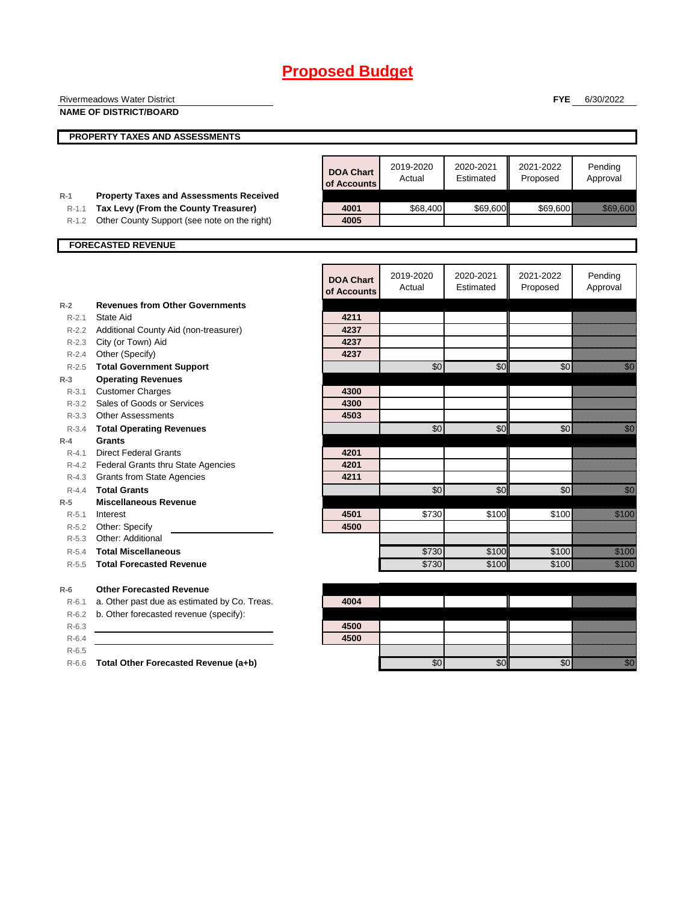|                    | <b>Rivermeadows Water District</b>                          |                                 |                 |           | <b>FYE</b> | 6/30/2022                                                                                                                                                                                                                        |
|--------------------|-------------------------------------------------------------|---------------------------------|-----------------|-----------|------------|----------------------------------------------------------------------------------------------------------------------------------------------------------------------------------------------------------------------------------|
|                    | <b>NAME OF DISTRICT/BOARD</b>                               |                                 |                 |           |            |                                                                                                                                                                                                                                  |
|                    |                                                             |                                 |                 |           |            |                                                                                                                                                                                                                                  |
|                    | <b>PROPERTY TAXES AND ASSESSMENTS</b>                       |                                 |                 |           |            |                                                                                                                                                                                                                                  |
|                    |                                                             |                                 |                 |           |            |                                                                                                                                                                                                                                  |
|                    |                                                             | <b>DOA Chart</b>                | 2019-2020       | 2020-2021 | 2021-2022  | Pending                                                                                                                                                                                                                          |
|                    |                                                             | of Accounts                     | Actual          | Estimated | Proposed   | Approval                                                                                                                                                                                                                         |
| $R-1$              | <b>Property Taxes and Assessments Received</b>              |                                 |                 |           |            |                                                                                                                                                                                                                                  |
| $R-1.1$            | Tax Levy (From the County Treasurer)                        | 4001                            | \$68,400        | \$69,600  | \$69,600   | <b>1999 - 1999 - 1999 - 1999 - 1999 - 1999</b>                                                                                                                                                                                   |
|                    | R-1.2 Other County Support (see note on the right)          | 4005                            |                 |           |            |                                                                                                                                                                                                                                  |
|                    |                                                             |                                 |                 |           |            |                                                                                                                                                                                                                                  |
|                    | <b>FORECASTED REVENUE</b>                                   |                                 |                 |           |            |                                                                                                                                                                                                                                  |
|                    |                                                             |                                 |                 |           |            |                                                                                                                                                                                                                                  |
|                    |                                                             |                                 | 2019-2020       | 2020-2021 | 2021-2022  | Pending                                                                                                                                                                                                                          |
|                    |                                                             | <b>DOA Chart</b><br>of Accounts | Actual          | Estimated | Proposed   | Approval                                                                                                                                                                                                                         |
|                    |                                                             |                                 |                 |           |            |                                                                                                                                                                                                                                  |
| $R-2$<br>$R - 2.1$ | <b>Revenues from Other Governments</b><br>State Aid         | 4211                            |                 |           |            |                                                                                                                                                                                                                                  |
| $R - 2.2$          |                                                             | 4237                            |                 |           |            |                                                                                                                                                                                                                                  |
| $R - 2.3$          | Additional County Aid (non-treasurer)<br>City (or Town) Aid | 4237                            |                 |           |            |                                                                                                                                                                                                                                  |
| $R - 2.4$          | Other (Specify)                                             | 4237                            |                 |           |            |                                                                                                                                                                                                                                  |
|                    | R-2.5 Total Government Support                              |                                 | \$0             | \$0       | \$0        | <u>i Sar</u>                                                                                                                                                                                                                     |
| $R-3$              | <b>Operating Revenues</b>                                   |                                 |                 |           |            |                                                                                                                                                                                                                                  |
| $R - 3.1$          | <b>Customer Charges</b>                                     | 4300                            |                 |           |            |                                                                                                                                                                                                                                  |
|                    | R-3.2 Sales of Goods or Services                            | 4300                            |                 |           |            |                                                                                                                                                                                                                                  |
|                    | R-3.3 Other Assessments                                     | 4503                            |                 |           |            |                                                                                                                                                                                                                                  |
|                    | R-3.4 Total Operating Revenues                              |                                 | \$0             | \$0       | \$0        | en de la familie de la familie de la familie de la familie de la familie de la familie de la familie de la fa<br>Constituit de la familie de la familie de la familie de la familie de la familie de la familie de la familie d  |
| $R-4$              | <b>Grants</b>                                               |                                 |                 |           |            |                                                                                                                                                                                                                                  |
| $R - 4.1$          | <b>Direct Federal Grants</b>                                | 4201                            |                 |           |            |                                                                                                                                                                                                                                  |
|                    | R-4.2 Federal Grants thru State Agencies                    | 4201                            |                 |           |            |                                                                                                                                                                                                                                  |
|                    | R-4.3 Grants from State Agencies                            | 4211                            |                 |           |            |                                                                                                                                                                                                                                  |
| $R - 4.4$          | <b>Total Grants</b>                                         |                                 | $\overline{60}$ | \$0       | \$0        | en de la familie de la familie de la familie de la familie de la familie de la familie de la familie de la fam<br>Constitution de la familie de la familie de la familie de la familie de la familie de la familie de la familie |
| $R-5$              | <b>Miscellaneous Revenue</b>                                |                                 |                 |           |            |                                                                                                                                                                                                                                  |
| $R - 5.1$          | Interest                                                    | 4501                            | \$730           | \$100     | \$100      | <u>tik k</u>                                                                                                                                                                                                                     |
|                    | R-5.2 Other: Specify                                        | 4500                            |                 |           |            |                                                                                                                                                                                                                                  |
|                    | R-5.3 Other: Additional                                     |                                 |                 |           |            |                                                                                                                                                                                                                                  |
| $R-5.4$            | <b>Total Miscellaneous</b>                                  |                                 | \$730           | \$100     | \$100      | <u>till fram en s</u>                                                                                                                                                                                                            |
| $R - 5.5$          | <b>Total Forecasted Revenue</b>                             |                                 | \$730           | \$100     | \$100      | <u>tik komun</u>                                                                                                                                                                                                                 |
| $R-6$              | <b>Other Forecasted Revenue</b>                             |                                 |                 |           |            |                                                                                                                                                                                                                                  |
| $R-6.1$            | a. Other past due as estimated by Co. Treas.                | 4004                            |                 |           |            |                                                                                                                                                                                                                                  |
| R-6.2              | b. Other forecasted revenue (specify):                      |                                 |                 |           |            |                                                                                                                                                                                                                                  |
| $R-6.3$            |                                                             | 4500                            |                 |           |            |                                                                                                                                                                                                                                  |
| $R-6.4$            |                                                             | 4500                            |                 |           |            |                                                                                                                                                                                                                                  |
| $R-6.5$            |                                                             |                                 |                 |           |            |                                                                                                                                                                                                                                  |
|                    | R-6.6 Total Other Forecasted Revenue (a+b)                  |                                 | \$0             | \$0       | \$0        | <u>fill a</u>                                                                                                                                                                                                                    |
|                    |                                                             |                                 |                 |           |            |                                                                                                                                                                                                                                  |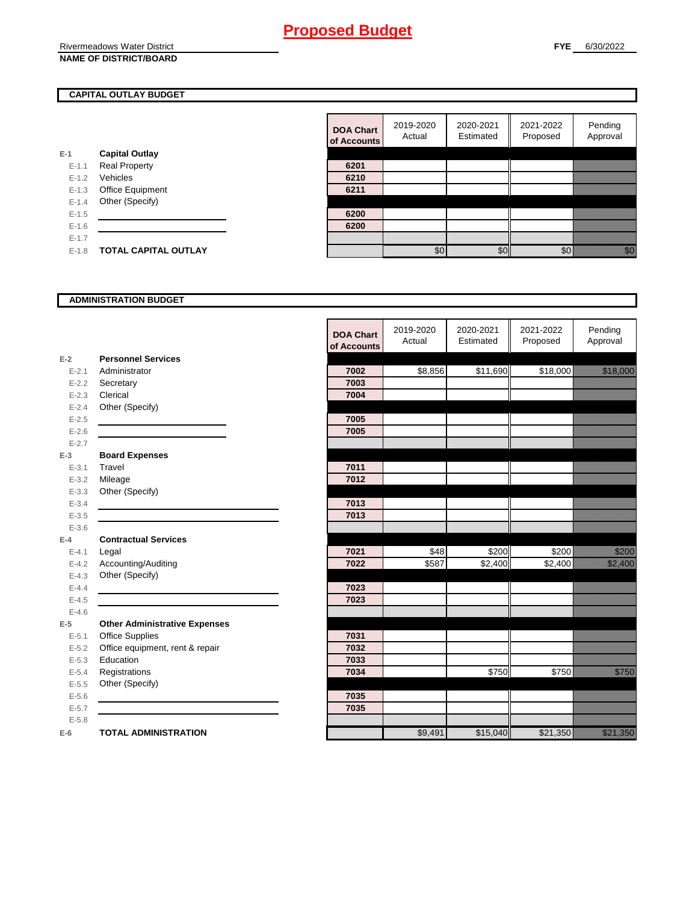Rivermeadows Water District **NAME OF DISTRICT/BOARD**

### **CAPITAL OUTLAY BUDGET**

|           |                             | vi nuuv |
|-----------|-----------------------------|---------|
| E-1       | <b>Capital Outlay</b>       |         |
| $E - 1.1$ | <b>Real Property</b>        | 6201    |
| $E - 1.2$ | Vehicles                    | 6210    |
| $E - 1.3$ | Office Equipment            | 6211    |
| $E - 1.4$ | Other (Specify)             |         |
| $E - 1.5$ |                             | 6200    |
| $E-1.6$   |                             | 6200    |
| $E-1.7$   |                             |         |
| $E - 1.8$ | <b>TOTAL CAPITAL OUTLAY</b> |         |
|           |                             |         |

| <b>DOA Chart</b><br>of Accounts | 2019-2020<br>Actual | 2020-2021<br>Estimated | 2021-2022<br>Proposed | Pending<br>Approval |
|---------------------------------|---------------------|------------------------|-----------------------|---------------------|
|                                 |                     |                        |                       |                     |
| 6201                            |                     |                        |                       |                     |
| 6210                            |                     |                        |                       |                     |
| 6211                            |                     |                        |                       |                     |
|                                 |                     |                        |                       |                     |
| 6200                            |                     |                        |                       |                     |
| 6200                            |                     |                        |                       |                     |
|                                 |                     |                        |                       |                     |
|                                 |                     |                        |                       |                     |

#### **ADMINISTRATION BUDGET**

|           |                                      | <b>DOA Chart</b><br>of Accounts | 2019-2020<br>Actual | 2020-2021<br>Estimated | 2021-2022<br>Proposed | Pending<br>Approval                                                                                            |
|-----------|--------------------------------------|---------------------------------|---------------------|------------------------|-----------------------|----------------------------------------------------------------------------------------------------------------|
| $E-2$     | <b>Personnel Services</b>            |                                 |                     |                        |                       |                                                                                                                |
| $E - 2.1$ | Administrator                        | 7002                            | \$8,856             | \$11,690               | \$18,000              | a katalunggal sa katalunggal sa katalunggal sa katalunggal sa katalunggal sa katalunggal sa katalunggal sa kat |
| $E - 2.2$ | Secretary                            | 7003                            |                     |                        |                       |                                                                                                                |
| $E - 2.3$ | Clerical                             | 7004                            |                     |                        |                       |                                                                                                                |
| $E - 2.4$ | Other (Specify)                      |                                 |                     |                        |                       |                                                                                                                |
| $E-2.5$   |                                      | 7005                            |                     |                        |                       |                                                                                                                |
| $E-2.6$   |                                      | 7005                            |                     |                        |                       |                                                                                                                |
| $E - 2.7$ |                                      |                                 |                     |                        |                       |                                                                                                                |
| $E-3$     | <b>Board Expenses</b>                |                                 |                     |                        |                       |                                                                                                                |
| $E - 3.1$ | Travel                               | 7011                            |                     |                        |                       |                                                                                                                |
| $E - 3.2$ | Mileage                              | 7012                            |                     |                        |                       |                                                                                                                |
| $E - 3.3$ | Other (Specify)                      |                                 |                     |                        |                       |                                                                                                                |
| $E - 3.4$ |                                      | 7013                            |                     |                        |                       |                                                                                                                |
| $E - 3.5$ |                                      | 7013                            |                     |                        |                       |                                                                                                                |
| $E - 3.6$ |                                      |                                 |                     |                        |                       |                                                                                                                |
| $E-4$     | <b>Contractual Services</b>          |                                 |                     |                        |                       |                                                                                                                |
| $E - 4.1$ | Legal                                | 7021                            | \$48                | \$200                  | \$200                 | TUMUMO<br>MANGGUNA                                                                                             |
| $E - 4.2$ | Accounting/Auditing                  | 7022                            | \$587               | $\sqrt{$2,400}$        | \$2,400               | <u> Hillingard</u>                                                                                             |
| $E - 4.3$ | Other (Specify)                      |                                 |                     |                        |                       |                                                                                                                |
| $E - 4.4$ |                                      | 7023                            |                     |                        |                       |                                                                                                                |
| $E-4.5$   |                                      | 7023                            |                     |                        |                       |                                                                                                                |
| $E-4.6$   |                                      |                                 |                     |                        |                       |                                                                                                                |
| $E-5$     | <b>Other Administrative Expenses</b> |                                 |                     |                        |                       |                                                                                                                |
| $E - 5.1$ | Office Supplies                      | 7031                            |                     |                        |                       |                                                                                                                |
| $E - 5.2$ | Office equipment, rent & repair      | 7032                            |                     |                        |                       |                                                                                                                |
| $E - 5.3$ | Education                            | 7033                            |                     |                        |                       |                                                                                                                |
| $E - 5.4$ | Registrations                        | 7034                            |                     | \$750                  | \$750                 | <u>till fram</u>                                                                                               |
| $E - 5.5$ | Other (Specify)                      |                                 |                     |                        |                       |                                                                                                                |
| $E-5.6$   |                                      | 7035                            |                     |                        |                       |                                                                                                                |
| $E - 5.7$ |                                      | 7035                            |                     |                        |                       |                                                                                                                |
| $E - 5.8$ |                                      |                                 |                     |                        |                       |                                                                                                                |
| $E-6$     | <b>TOTAL ADMINISTRATION</b>          |                                 | \$9,491             | \$15,040               | \$21,350              | <u>i selle selle selle</u>                                                                                     |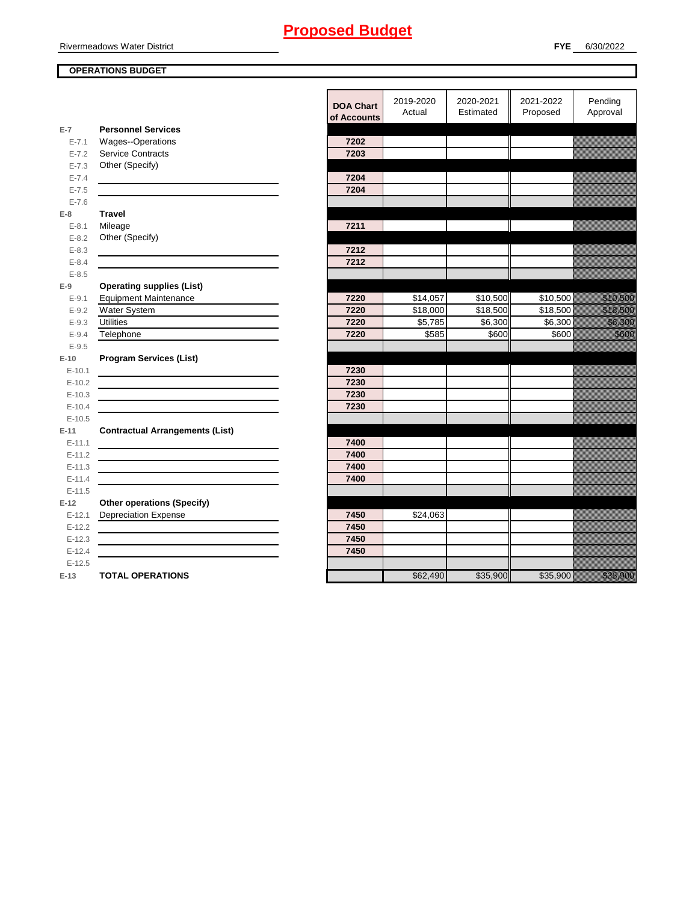#### Rivermeadows Water District

### **OPERATIONS BUDGET**

en de la militar de la militar de la militar de la militar de la militar de la militar de la militar de la mi<br>Establecercitat de la militar de la militar de la militar de la militar de la militar de la militar de la mili

en de la maria de la maria de la maria de la maria de la maria de la maria de la maria de la maria de la maria<br>Versión en de la familie de la familie de la familie de la familie de la familie de la familie de la familie de la fam<br>Décembre de la familie de la familie de la familie de la familie de la familie de la familie de la familie de en de la falsa de la falsa de la falsa de la falsa de la falsa de la falsa de la falsa de la falsa de la falsa<br>El falsa de la falsa de la falsa de la falsa de la falsa de la falsa de la falsa de la falsa de la falsa de la

|                      |                                              | <b>DOA Chart</b><br>of Accounts | 2019-2020<br>Actual  | 2020-2021<br>Estimated | 2021-2022<br>Proposed            | Pending<br>Approval                         |
|----------------------|----------------------------------------------|---------------------------------|----------------------|------------------------|----------------------------------|---------------------------------------------|
| $E-7$                | <b>Personnel Services</b>                    |                                 |                      |                        |                                  |                                             |
| $E - 7.1$            | Wages--Operations                            | 7202                            |                      |                        |                                  |                                             |
| $E - 7.2$            | Service Contracts                            | 7203                            |                      |                        |                                  |                                             |
| $E - 7.3$            | Other (Specify)                              |                                 |                      |                        |                                  |                                             |
| $E - 7.4$            |                                              | 7204                            |                      |                        |                                  |                                             |
| $E - 7.5$            |                                              | 7204                            |                      |                        |                                  |                                             |
| $E - 7.6$            |                                              |                                 |                      |                        |                                  |                                             |
| $E-8$                | <b>Travel</b>                                |                                 |                      |                        |                                  |                                             |
| $E-8.1$              | Mileage                                      | 7211                            |                      |                        |                                  |                                             |
| $E - 8.2$            | Other (Specify)                              |                                 |                      |                        |                                  |                                             |
| $E - 8.3$            |                                              | 7212                            |                      |                        |                                  |                                             |
| $E - 8.4$            |                                              | 7212                            |                      |                        |                                  |                                             |
| $E - 8.5$            |                                              |                                 |                      |                        |                                  |                                             |
| $E-9$                | <b>Operating supplies (List)</b>             |                                 |                      |                        |                                  |                                             |
| $E-9.1$<br>$E - 9.2$ | <b>Equipment Maintenance</b><br>Water System | 7220<br>7220                    | \$14,057<br>\$18,000 | \$10,500               | \$10,500<br>$\overline{$}18,500$ | an dhe as a' an t-<br><u> Karl Barat da</u> |
| $E-9.3$              | <b>Utilities</b>                             | 7220                            | \$5,785              | \$18,500<br>\$6,300    | \$6,300                          | <u> Hillian Sa</u>                          |
| $E-9.4$              | Telephone                                    | 7220                            | \$585                | \$600                  | \$600                            | <u> Hill</u>                                |
| $E - 9.5$            |                                              |                                 |                      |                        |                                  |                                             |
| $E-10$               | <b>Program Services (List)</b>               |                                 |                      |                        |                                  |                                             |
| $E-10.1$             |                                              | 7230                            |                      |                        |                                  |                                             |
| $E-10.2$             |                                              | 7230                            |                      |                        |                                  |                                             |
| $E-10.3$             |                                              | 7230                            |                      |                        |                                  |                                             |
| $E-10.4$             |                                              | 7230                            |                      |                        |                                  |                                             |
| $E-10.5$             |                                              |                                 |                      |                        |                                  |                                             |
| $E-11$               | <b>Contractual Arrangements (List)</b>       |                                 |                      |                        |                                  |                                             |
| $E-11.1$             |                                              | 7400                            |                      |                        |                                  |                                             |
| $E-11.2$             |                                              | 7400                            |                      |                        |                                  |                                             |
| $E-11.3$             |                                              | 7400                            |                      |                        |                                  |                                             |
| $E-11.4$             |                                              | 7400                            |                      |                        |                                  |                                             |
| $E-11.5$             |                                              |                                 |                      |                        |                                  |                                             |
| $E-12$               | <b>Other operations (Specify)</b>            |                                 |                      |                        |                                  |                                             |
| $E-12.1$             | <b>Depreciation Expense</b>                  | 7450                            | \$24,063             |                        |                                  |                                             |
| $E-12.2$             |                                              | 7450                            |                      |                        |                                  |                                             |
| $E-12.3$             |                                              | 7450                            |                      |                        |                                  |                                             |
| $E-12.4$             |                                              | 7450                            |                      |                        |                                  |                                             |
| $E-12.5$             |                                              |                                 |                      |                        |                                  |                                             |
| $E-13$               | <b>TOTAL OPERATIONS</b>                      |                                 | \$62,490             | \$35,900               | \$35,900                         | a a an am an t-                             |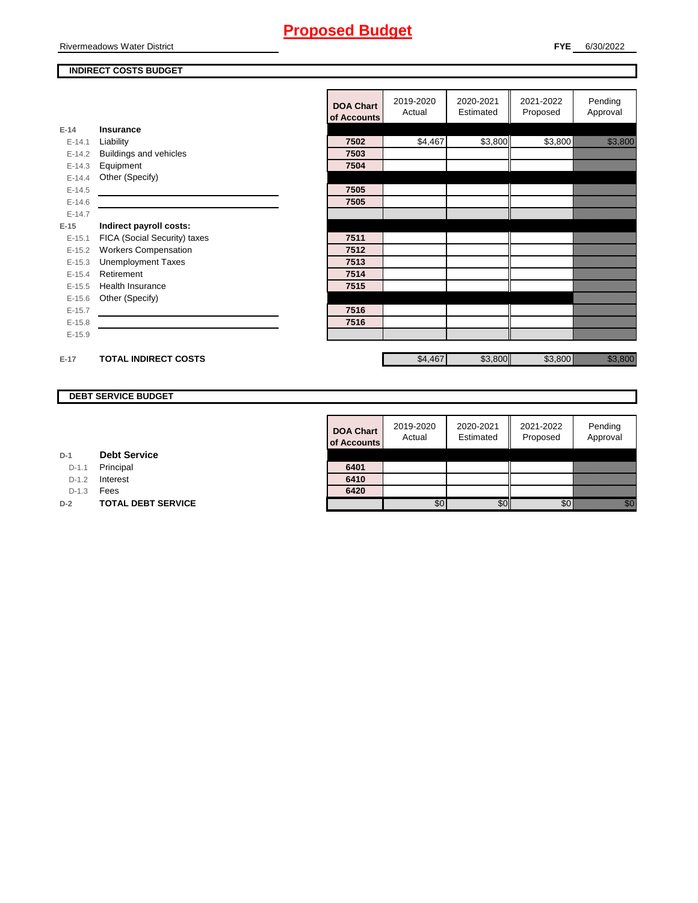Rivermeadows Water District

#### **INDIRECT COSTS BUDGET**

|          |                              | <b>DOA Chart</b><br>of Accounts | 2019-2020<br>Actual | 2020-2021<br>Estimated | 2021-2022<br>Proposed | Pending<br>Approval                                                                                                                                                                                                             |
|----------|------------------------------|---------------------------------|---------------------|------------------------|-----------------------|---------------------------------------------------------------------------------------------------------------------------------------------------------------------------------------------------------------------------------|
| $E-14$   | Insurance                    |                                 |                     |                        |                       |                                                                                                                                                                                                                                 |
| $E-14.1$ | Liability                    | 7502                            | \$4,467             | \$3,800                | \$3,800               | <u> Harry College (</u>                                                                                                                                                                                                         |
| $E-14.2$ | Buildings and vehicles       | 7503                            |                     |                        |                       |                                                                                                                                                                                                                                 |
| $E-14.3$ | Equipment                    | 7504                            |                     |                        |                       |                                                                                                                                                                                                                                 |
| $E-14.4$ | Other (Specify)              |                                 |                     |                        |                       |                                                                                                                                                                                                                                 |
| $E-14.5$ |                              | 7505                            |                     |                        |                       |                                                                                                                                                                                                                                 |
| $E-14.6$ |                              | 7505                            |                     |                        |                       |                                                                                                                                                                                                                                 |
| $E-14.7$ |                              |                                 |                     |                        |                       |                                                                                                                                                                                                                                 |
| $E-15$   | Indirect payroll costs:      |                                 |                     |                        |                       |                                                                                                                                                                                                                                 |
| $E-15.1$ | FICA (Social Security) taxes | 7511                            |                     |                        |                       |                                                                                                                                                                                                                                 |
| $E-15.2$ | <b>Workers Compensation</b>  | 7512                            |                     |                        |                       |                                                                                                                                                                                                                                 |
| $E-15.3$ | <b>Unemployment Taxes</b>    | 7513                            |                     |                        |                       |                                                                                                                                                                                                                                 |
| $E-15.4$ | Retirement                   | 7514                            |                     |                        |                       |                                                                                                                                                                                                                                 |
| $E-15.5$ | <b>Health Insurance</b>      | 7515                            |                     |                        |                       |                                                                                                                                                                                                                                 |
| $E-15.6$ | Other (Specify)              |                                 |                     |                        |                       |                                                                                                                                                                                                                                 |
| $E-15.7$ |                              | 7516                            |                     |                        |                       |                                                                                                                                                                                                                                 |
| $E-15.8$ |                              | 7516                            |                     |                        |                       |                                                                                                                                                                                                                                 |
| $E-15.9$ |                              |                                 |                     |                        |                       |                                                                                                                                                                                                                                 |
| $E-17$   | <b>TOTAL INDIRECT COSTS</b>  |                                 | \$4,467             |                        | \$3,800               | e al composición de la composición de la composición de la composición de la composición de la composición de<br>Composición de la composición de la composición de la composición de la composición de la composición de la co |
|          |                              |                                 |                     | \$3,800                |                       |                                                                                                                                                                                                                                 |

### **DEBT SERVICE BUDGET**

| <b>DOA Chart</b><br>of Accounts | 2019-2020<br>Actual | 2020-2021<br>Estimated | 2021-2022<br>Proposed | Pending<br>Approval |
|---------------------------------|---------------------|------------------------|-----------------------|---------------------|
|                                 |                     |                        |                       |                     |
| 6401                            |                     |                        |                       |                     |
| 6410                            |                     |                        |                       |                     |
| 6420                            |                     |                        |                       |                     |
|                                 |                     |                        |                       |                     |

**D-1 Debt Service**

D-1.1 Principal

D-1.2 **Interest** 

D-1.3 **Fees** 

**D-2 TOTAL DEBT SERVICE**